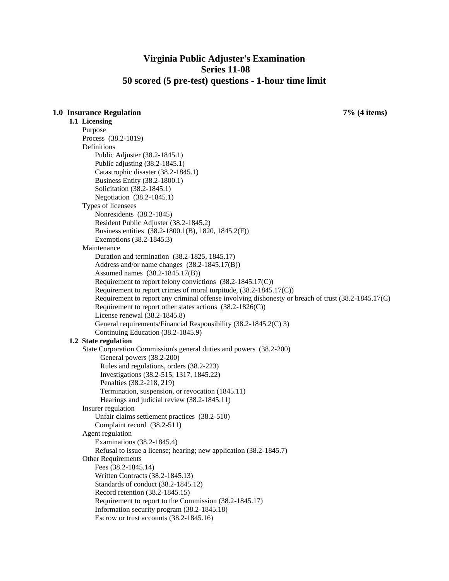# **Virginia Public Adjuster's Examination Series 11-08 50 scored (5 pre-test) questions - 1-hour time limit**

## **1.0 Insurance Regulation 7% (4 items)**

**1.1 Licensing**  Purpose Process (38.2-1819) Definitions Public Adjuster (38.2-1845.1) Public adjusting (38.2-1845.1) Catastrophic disaster (38.2-1845.1) Business Entity (38.2-1800.1) Solicitation (38.2-1845.1) Negotiation (38.2-1845.1) Types of licensees Nonresidents (38.2-1845) Resident Public Adjuster (38.2-1845.2) Business entities (38.2-1800.1(B), 1820, 1845.2(F)) Exemptions (38.2-1845.3) Maintenance Duration and termination (38.2-1825, 1845.17) Address and/or name changes (38.2-1845.17(B)) Assumed names (38.2-1845.17(B)) Requirement to report felony convictions (38.2-1845.17(C)) Requirement to report crimes of moral turpitude, (38.2-1845.17(C)) Requirement to report any criminal offense involving dishonesty or breach of trust (38.2-1845.17(C) Requirement to report other states actions (38.2-1826(C)) License renewal (38.2-1845.8) General requirements/Financial Responsibility (38.2-1845.2(C) 3) Continuing Education (38.2-1845.9) **1.2 State regulation**  State Corporation Commission's general duties and powers (38.2-200) General powers (38.2-200) Rules and regulations, orders (38.2-223) Investigations (38.2-515, 1317, 1845.22) Penalties (38.2-218, 219) Termination, suspension, or revocation (1845.11) Hearings and judicial review (38.2-1845.11) Insurer regulation Unfair claims settlement practices (38.2-510) Complaint record (38.2-511) Agent regulation Examinations (38.2-1845.4) Refusal to issue a license; hearing; new application (38.2-1845.7) Other Requirements Fees (38.2-1845.14) Written Contracts (38.2-1845.13) Standards of conduct (38.2-1845.12) Record retention (38.2-1845.15) Requirement to report to the Commission (38.2-1845.17) Information security program (38.2-1845.18) Escrow or trust accounts (38.2-1845.16)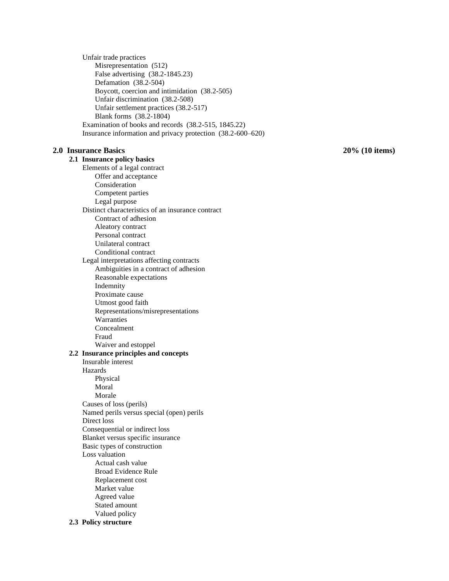Unfair trade practices Misrepresentation (512) False advertising (38.2-1845.23) Defamation (38.2-504) Boycott, coercion and intimidation (38.2-505) Unfair discrimination (38.2-508) Unfair settlement practices (38.2-517) Blank forms (38.2-1804) Examination of books and records (38.2-515, 1845.22) Insurance information and privacy protection (38.2-600–620)

### **2.0 Insurance Basics 20% (10 items)**

**2.1 Insurance policy basics** Elements of a legal contract Offer and acceptance Consideration Competent parties Legal purpose Distinct characteristics of an insurance contract Contract of adhesion Aleatory contract Personal contract Unilateral contract Conditional contract Legal interpretations affecting contracts Ambiguities in a contract of adhesion Reasonable expectations Indemnity Proximate cause Utmost good faith Representations/misrepresentations Warranties Concealment Fraud Waiver and estoppel **2.2 Insurance principles and concepts** Insurable interest Hazards Physical Moral Morale Causes of loss (perils) Named perils versus special (open) perils Direct loss Consequential or indirect loss Blanket versus specific insurance Basic types of construction Loss valuation Actual cash value Broad Evidence Rule Replacement cost Market value Agreed value Stated amount Valued policy **2.3 Policy structure**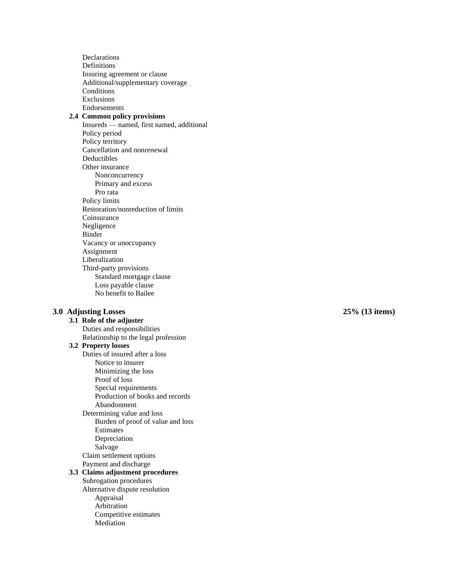Declarations Definitions Insuring agreement or clause Additional/supplementary coverage **Conditions** Exclusions Endorsements **2.4 Common policy provisions** Insureds — named, first named, additional Policy period Policy territory Cancellation and nonrenewal Deductibles Other insurance Nonconcurrency Primary and excess Pro rata Policy limits Restoration/nonreduction of limits Coinsurance Negligence Binder Vacancy or unoccupancy Assignment Liberalization Third -party provisions Standard mortgage clause Loss payable clause No benefit to Bailee **3.0 Adjusting Losses 25% (13 items)** Duties and responsibilities

**3.1 Role of the adjuster** Relationship to the legal profession **3.2 Property losses** Duties of insured after a loss Notice to insurer Minimizing the loss Proof of loss Special requirements Production of books and records Abandonment Determining value and loss Burden of proof of value and loss Estimates Depreciation Salvage Claim settlement options Payment and discharge **3.3 Claims adjustment procedures** Subrogation procedures Alternative dispute resolution Appraisal Arbitration Competitive estimates Mediation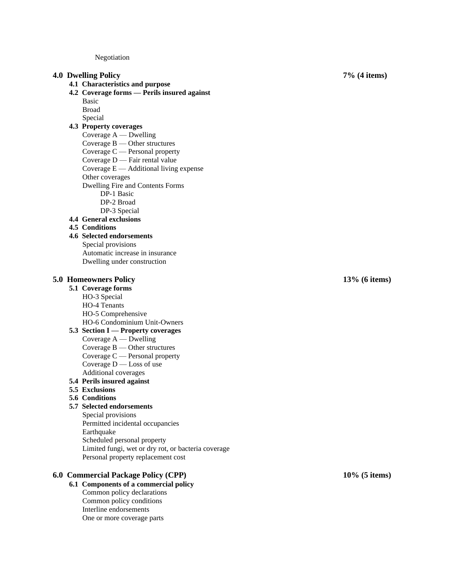Negotiation

#### **4.0 Dwelling Policy 7% (4 items)**

- **4.1 Characteristics and purpose**
- **4.2 Coverage forms — Perils insured against** Basic
	- Broad
	- Special

## **4.3 Property coverages**

Coverage A — Dwelling Coverage B — Other structures Coverage C — Personal property Coverage D — Fair rental value Coverage E — Additional living expense Other coverages Dwelling Fire and Contents Forms DP -1 Basic DP -2 Broad DP -3 Special **4.4 General exclusions 4.5 Conditions**

#### **4.6 Selected endorsements**

Special provisions Automatic increase in insurance Dwelling under construction

# **5.0 Homeowners Policy 13% (6 items)**

- **5.1 Coverage forms** HO -3 Special
	- HO -4 Tenants
	- HO -5 Comprehensive
	- HO -6 Condominium Unit -Owners
- **5.3 Section I — Property coverages**
	- Coverage A Dwelling Coverage B — Other structures Coverage C — Personal property Coverage D — Loss of use
- Additional coverages **5.4 Perils insured against**
- **5.5 Exclusions**
- **5.6 Conditions**

### **5.7 Selected endorsements**

Special provisions Permitted incidental occupancies Earthquake Scheduled personal property Limited fungi, wet or dry rot, or bacteria coverage Personal property replacement cost

## **6.0 Commercial Package Policy (CPP)**

# **6.1 Components of a commercial policy**

Common policy declarations Common policy conditions Interline endorsements One or more coverage parts

**(5 items)**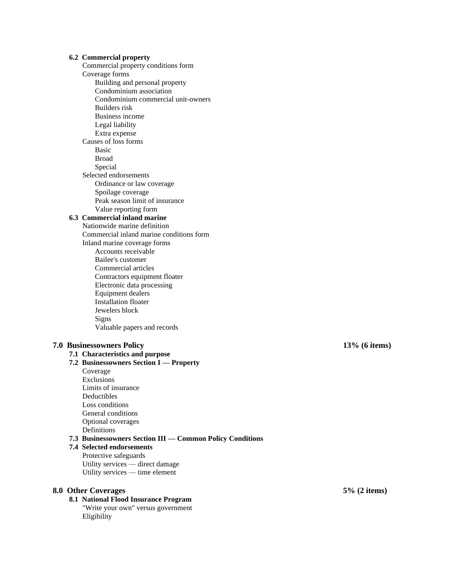#### **6.2 Commercial property**

Commercial property conditions form Coverage forms Building and personal property Condominium association Condominium commercial unit-owners Builders risk Business income Legal liability Extra expense Causes of loss forms Basic Broad Special Selected endorsements Ordinance or law coverage Spoilage coverage Peak season limit of insurance Value reporting form **6.3 Commercial inland marine** Nationwide marine definition Commercial inland marine conditions form Inland marine coverage forms Accounts receivable Bailee's customer Commercial articles Contractors equipment floater Electronic data processing Equipment dealers Installation floater Jewelers block

#### Signs Valuable papers and records

# **7.1 Characteristics and purpose**

- **7.2 Businessowners Section I — Property** Coverage Exclusions
	- Limits of insurance Deductibles Loss conditions General conditions Optional coverages Definitions

### **7.3 Businessowners Section III — Common Policy Conditions**

## **7.4 Selected endorsements** Protective safeguards Utility services — direct damage Utility services — time element

### **8.0 Other Coverages 5% (2 items)**

# **8.1 National Flood Insurance Program**

"Write your own" versus government Eligibility

### **7.0 Businessowners Policy 13% (6 items)**